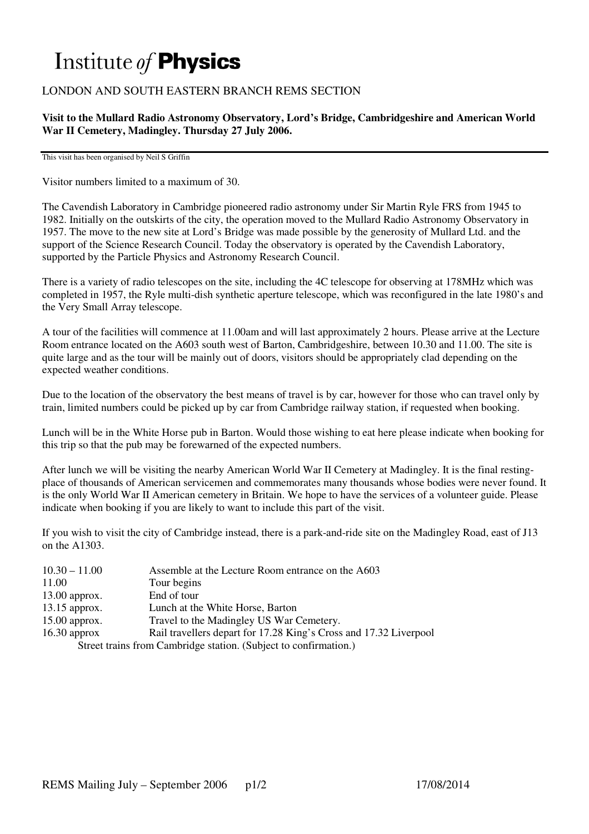# Institute of **Physics**

## LONDON AND SOUTH EASTERN BRANCH REMS SECTION

**Visit to the Mullard Radio Astronomy Observatory, Lord's Bridge, Cambridgeshire and American World War II Cemetery, Madingley. Thursday 27 July 2006.** 

This visit has been organised by Neil S Griffin

Visitor numbers limited to a maximum of 30.

The Cavendish Laboratory in Cambridge pioneered radio astronomy under Sir Martin Ryle FRS from 1945 to 1982. Initially on the outskirts of the city, the operation moved to the Mullard Radio Astronomy Observatory in 1957. The move to the new site at Lord's Bridge was made possible by the generosity of Mullard Ltd. and the support of the Science Research Council. Today the observatory is operated by the Cavendish Laboratory, supported by the Particle Physics and Astronomy Research Council.

There is a variety of radio telescopes on the site, including the 4C telescope for observing at 178MHz which was completed in 1957, the Ryle multi-dish synthetic aperture telescope, which was reconfigured in the late 1980's and the Very Small Array telescope.

A tour of the facilities will commence at 11.00am and will last approximately 2 hours. Please arrive at the Lecture Room entrance located on the A603 south west of Barton, Cambridgeshire, between 10.30 and 11.00. The site is quite large and as the tour will be mainly out of doors, visitors should be appropriately clad depending on the expected weather conditions.

Due to the location of the observatory the best means of travel is by car, however for those who can travel only by train, limited numbers could be picked up by car from Cambridge railway station, if requested when booking.

Lunch will be in the White Horse pub in Barton. Would those wishing to eat here please indicate when booking for this trip so that the pub may be forewarned of the expected numbers.

After lunch we will be visiting the nearby American World War II Cemetery at Madingley. It is the final restingplace of thousands of American servicemen and commemorates many thousands whose bodies were never found. It is the only World War II American cemetery in Britain. We hope to have the services of a volunteer guide. Please indicate when booking if you are likely to want to include this part of the visit.

If you wish to visit the city of Cambridge instead, there is a park-and-ride site on the Madingley Road, east of J13 on the A1303.

| $10.30 - 11.00$                                                  | Assemble at the Lecture Room entrance on the A603                 |
|------------------------------------------------------------------|-------------------------------------------------------------------|
| 11.00                                                            | Tour begins                                                       |
| $13.00$ approx.                                                  | End of tour                                                       |
| $13.15$ approx.                                                  | Lunch at the White Horse, Barton                                  |
| $15.00$ approx.                                                  | Travel to the Madingley US War Cemetery.                          |
| $16.30$ approx                                                   | Rail travellers depart for 17.28 King's Cross and 17.32 Liverpool |
| Street trains from Cambridge station. (Subject to confirmation.) |                                                                   |